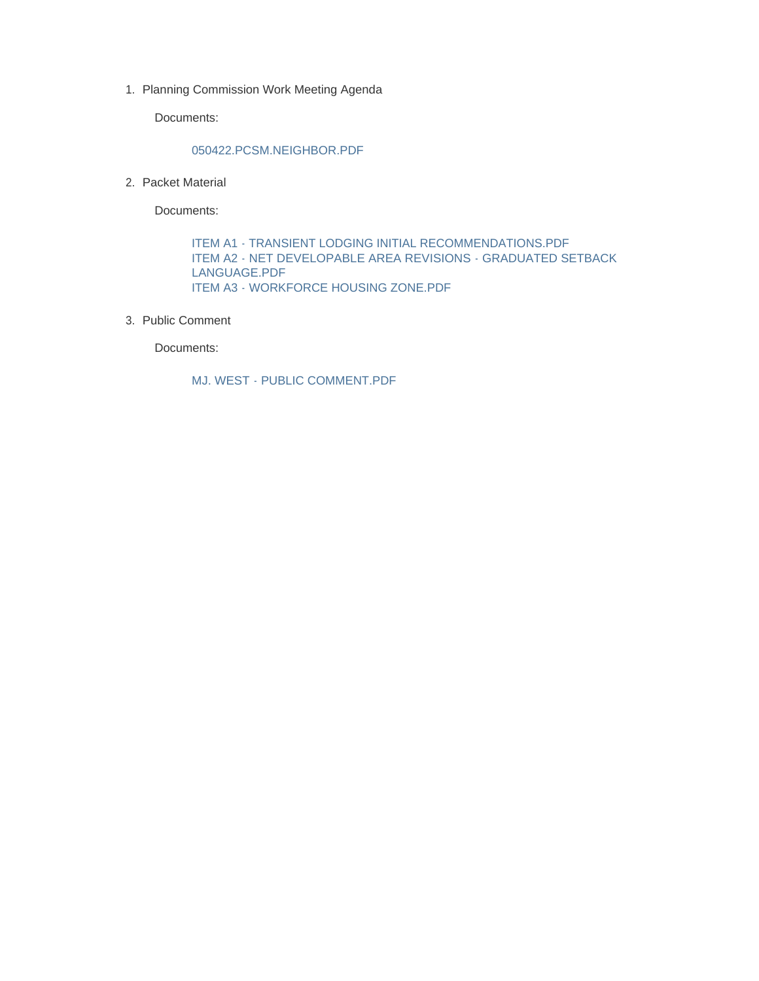1. Planning Commission Work Meeting Agenda

Documents:

#### 050422.PCSM.NEIGHBOR.PDF

2. Packet Material

Documents:

ITEM A1 - TRANSIENT LODGING INITIAL RECOMMENDATIONS.PDF ITEM A2 - NET DEVELOPABLE AREA REVISIONS - GRADUATED SETBACK LANGUAGE.PDF ITEM A3 - WORKFORCE HOUSING ZONE.PDF

3. Public Comment

Documents:

MJ. WEST - PUBLIC COMMENT.PDF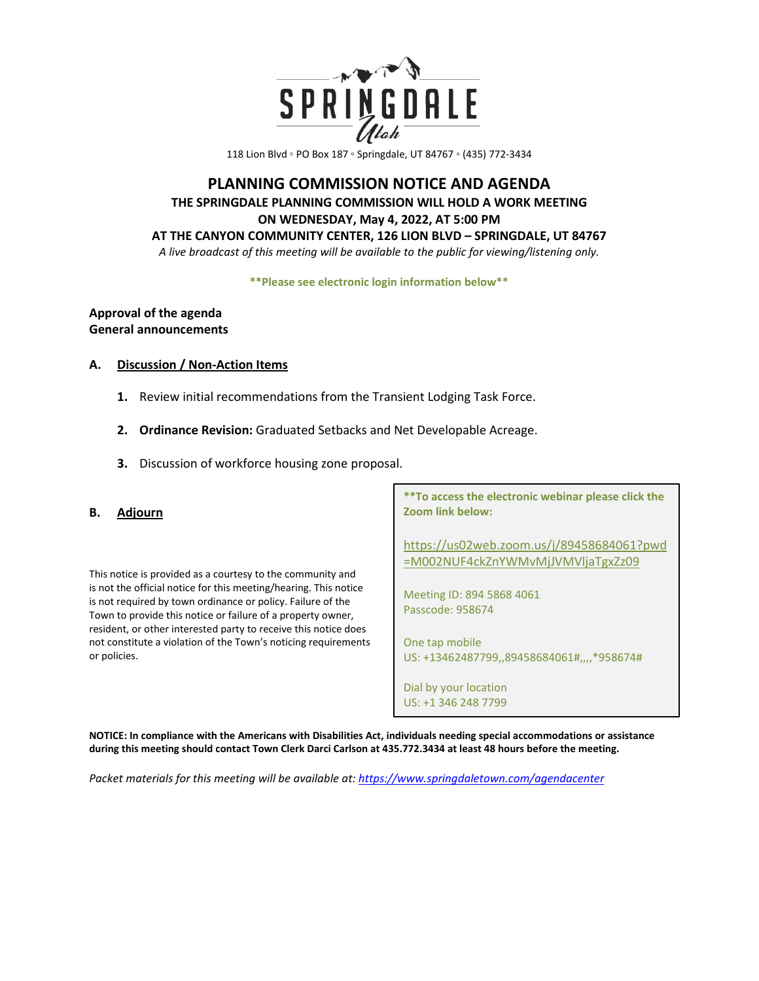

118 Lion Blvd ◦ PO Box 187 ◦ Springdale, UT 84767 ◦ (435) 772-3434

## **PLANNING COMMISSION NOTICE AND AGENDA THE SPRINGDALE PLANNING COMMISSION WILL HOLD A WORK MEETING ON WEDNESDAY, May 4, 2022, AT 5:00 PM AT THE CANYON COMMUNITY CENTER, 126 LION BLVD – SPRINGDALE, UT 84767**

*A live broadcast of this meeting will be available to the public for viewing/listening only.* 

**\*\*Please see electronic login information below\*\***

## **Approval of the agenda General announcements**

#### **A. Discussion / Non-Action Items**

- **1.** Review initial recommendations from the Transient Lodging Task Force.
- **2. Ordinance Revision:** Graduated Setbacks and Net Developable Acreage.
- **3.** Discussion of workforce housing zone proposal.
- **B. Adjourn**

This notice is provided as a courtesy to the community and is not the official notice for this meeting/hearing. This notice is not required by town ordinance or policy. Failure of the Town to provide this notice or failure of a property owner, resident, or other interested party to receive this notice does not constitute a violation of the Town's noticing requirements or policies.

**\*\*To access the electronic webinar please click the Zoom link below:** 

[https://us02web.zoom.us/j/89458684061?pwd](https://us02web.zoom.us/j/89458684061?pwd=M002NUF4ckZnYWMvMjJVMVljaTgxZz09) [=M002NUF4ckZnYWMvMjJVMVljaTgxZz09](https://us02web.zoom.us/j/89458684061?pwd=M002NUF4ckZnYWMvMjJVMVljaTgxZz09)

Meeting ID: 894 5868 4061 Passcode: 958674

One tap mobile US: +13462487799,,89458684061#,,,,\*958674#

Dial by your location US: +1 346 248 7799

**NOTICE: In compliance with the Americans with Disabilities Act, individuals needing special accommodations or assistance during this meeting should contact Town Clerk Darci Carlson at 435.772.3434 at least 48 hours before the meeting.** 

*Packet materials for this meeting will be available at[: https://www.springdaletown.com/agendacenter](https://www.springdaletown.com/agendacenter)*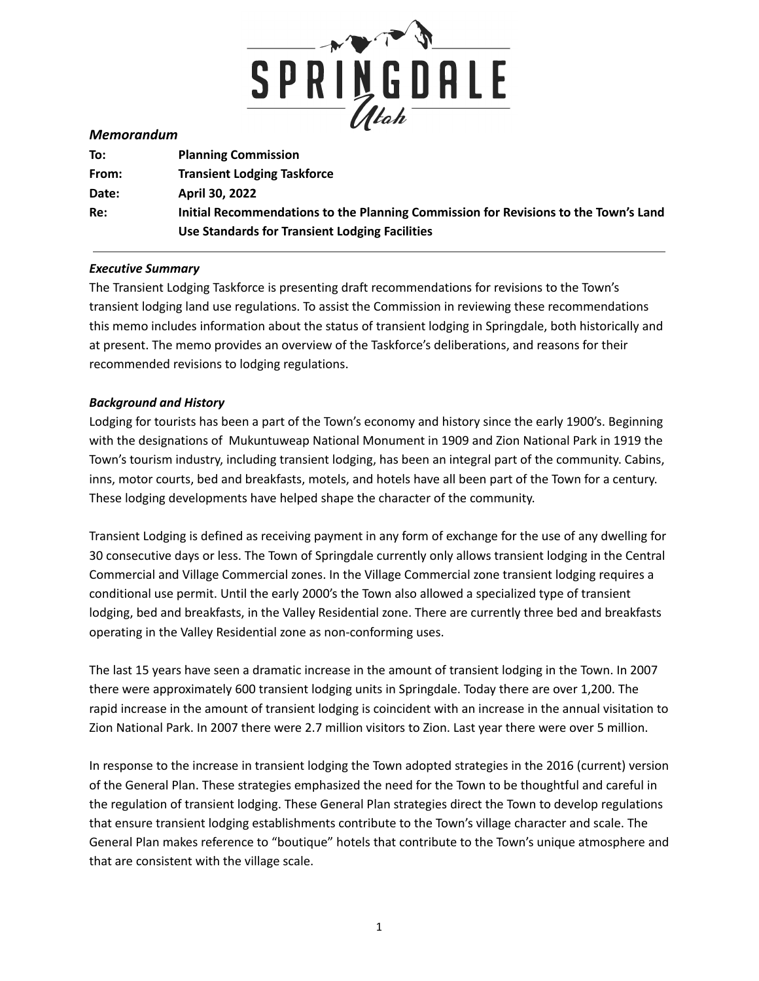

#### *Memorandum*

| To:   | <b>Planning Commission</b>                                                          |
|-------|-------------------------------------------------------------------------------------|
| From: | <b>Transient Lodging Taskforce</b>                                                  |
| Date: | April 30, 2022                                                                      |
| Re:   | Initial Recommendations to the Planning Commission for Revisions to the Town's Land |
|       | Use Standards for Transient Lodging Facilities                                      |

#### *Executive Summary*

The Transient Lodging Taskforce is presenting draft recommendations for revisions to the Town's transient lodging land use regulations. To assist the Commission in reviewing these recommendations this memo includes information about the status of transient lodging in Springdale, both historically and at present. The memo provides an overview of the Taskforce's deliberations, and reasons for their recommended revisions to lodging regulations.

#### *Background and History*

Lodging for tourists has been a part of the Town's economy and history since the early 1900's. Beginning with the designations of Mukuntuweap National Monument in 1909 and Zion National Park in 1919 the Town's tourism industry, including transient lodging, has been an integral part of the community. Cabins, inns, motor courts, bed and breakfasts, motels, and hotels have all been part of the Town for a century. These lodging developments have helped shape the character of the community.

Transient Lodging is defined as receiving payment in any form of exchange for the use of any dwelling for 30 consecutive days or less. The Town of Springdale currently only allows transient lodging in the Central Commercial and Village Commercial zones. In the Village Commercial zone transient lodging requires a conditional use permit. Until the early 2000's the Town also allowed a specialized type of transient lodging, bed and breakfasts, in the Valley Residential zone. There are currently three bed and breakfasts operating in the Valley Residential zone as non-conforming uses.

The last 15 years have seen a dramatic increase in the amount of transient lodging in the Town. In 2007 there were approximately 600 transient lodging units in Springdale. Today there are over 1,200. The rapid increase in the amount of transient lodging is coincident with an increase in the annual visitation to Zion National Park. In 2007 there were 2.7 million visitors to Zion. Last year there were over 5 million.

In response to the increase in transient lodging the Town adopted strategies in the 2016 (current) version of the General Plan. These strategies emphasized the need for the Town to be thoughtful and careful in the regulation of transient lodging. These General Plan strategies direct the Town to develop regulations that ensure transient lodging establishments contribute to the Town's village character and scale. The General Plan makes reference to "boutique" hotels that contribute to the Town's unique atmosphere and that are consistent with the village scale.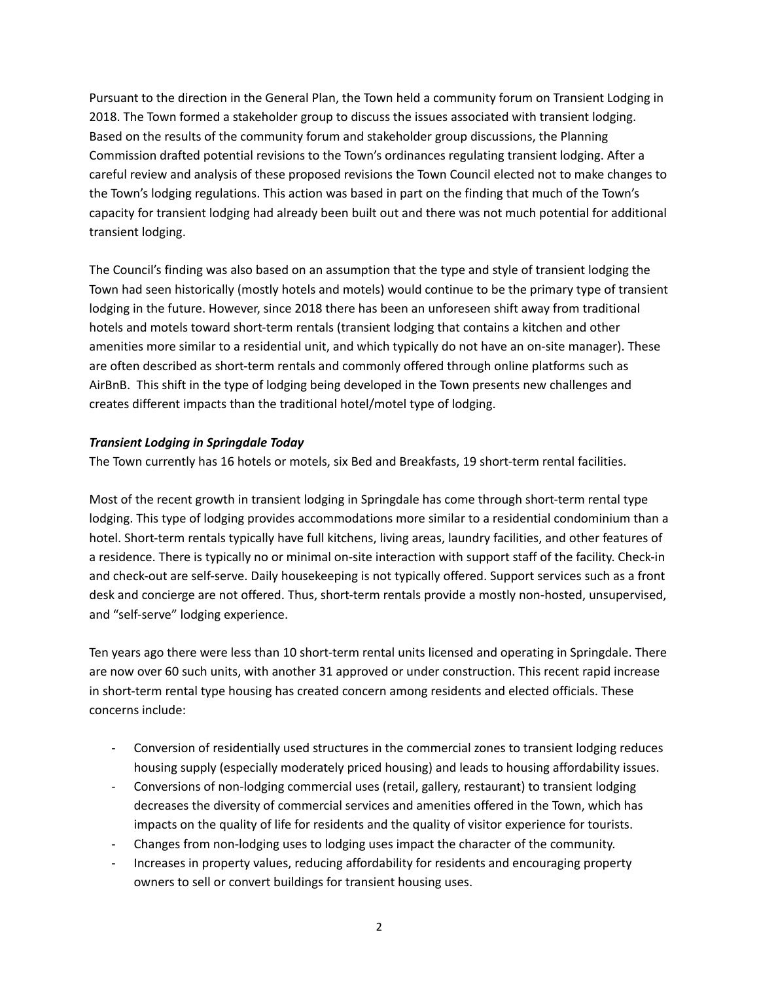Pursuant to the direction in the General Plan, the Town held a community forum on Transient Lodging in 2018. The Town formed a stakeholder group to discuss the issues associated with transient lodging. Based on the results of the community forum and stakeholder group discussions, the Planning Commission drafted potential revisions to the Town's ordinances regulating transient lodging. After a careful review and analysis of these proposed revisions the Town Council elected not to make changes to the Town's lodging regulations. This action was based in part on the finding that much of the Town's capacity for transient lodging had already been built out and there was not much potential for additional transient lodging.

The Council's finding was also based on an assumption that the type and style of transient lodging the Town had seen historically (mostly hotels and motels) would continue to be the primary type of transient lodging in the future. However, since 2018 there has been an unforeseen shift away from traditional hotels and motels toward short-term rentals (transient lodging that contains a kitchen and other amenities more similar to a residential unit, and which typically do not have an on-site manager). These are often described as short-term rentals and commonly offered through online platforms such as AirBnB. This shift in the type of lodging being developed in the Town presents new challenges and creates different impacts than the traditional hotel/motel type of lodging.

## *Transient Lodging in Springdale Today*

The Town currently has 16 hotels or motels, six Bed and Breakfasts, 19 short-term rental facilities.

Most of the recent growth in transient lodging in Springdale has come through short-term rental type lodging. This type of lodging provides accommodations more similar to a residential condominium than a hotel. Short-term rentals typically have full kitchens, living areas, laundry facilities, and other features of a residence. There is typically no or minimal on-site interaction with support staff of the facility. Check-in and check-out are self-serve. Daily housekeeping is not typically offered. Support services such as a front desk and concierge are not offered. Thus, short-term rentals provide a mostly non-hosted, unsupervised, and "self-serve" lodging experience.

Ten years ago there were less than 10 short-term rental units licensed and operating in Springdale. There are now over 60 such units, with another 31 approved or under construction. This recent rapid increase in short-term rental type housing has created concern among residents and elected officials. These concerns include:

- Conversion of residentially used structures in the commercial zones to transient lodging reduces housing supply (especially moderately priced housing) and leads to housing affordability issues.
- Conversions of non-lodging commercial uses (retail, gallery, restaurant) to transient lodging decreases the diversity of commercial services and amenities offered in the Town, which has impacts on the quality of life for residents and the quality of visitor experience for tourists.
- Changes from non-lodging uses to lodging uses impact the character of the community.
- Increases in property values, reducing affordability for residents and encouraging property owners to sell or convert buildings for transient housing uses.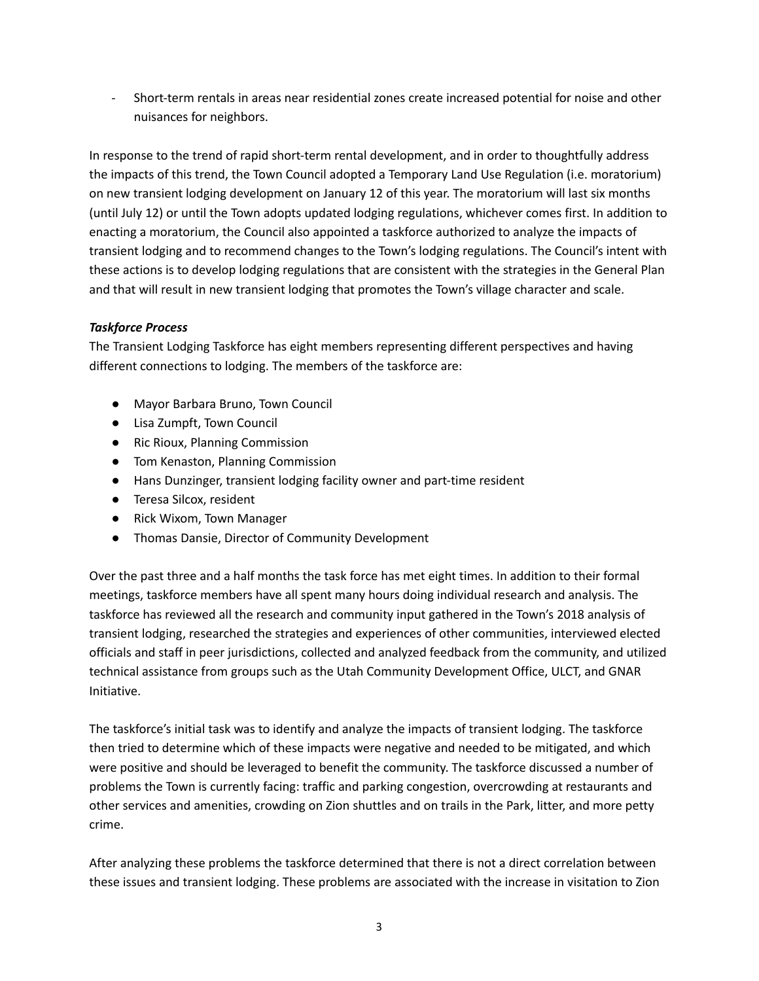- Short-term rentals in areas near residential zones create increased potential for noise and other nuisances for neighbors.

In response to the trend of rapid short-term rental development, and in order to thoughtfully address the impacts of this trend, the Town Council adopted a Temporary Land Use Regulation (i.e. moratorium) on new transient lodging development on January 12 of this year. The moratorium will last six months (until July 12) or until the Town adopts updated lodging regulations, whichever comes first. In addition to enacting a moratorium, the Council also appointed a taskforce authorized to analyze the impacts of transient lodging and to recommend changes to the Town's lodging regulations. The Council's intent with these actions is to develop lodging regulations that are consistent with the strategies in the General Plan and that will result in new transient lodging that promotes the Town's village character and scale.

## *Taskforce Process*

The Transient Lodging Taskforce has eight members representing different perspectives and having different connections to lodging. The members of the taskforce are:

- Mayor Barbara Bruno, Town Council
- Lisa Zumpft, Town Council
- Ric Rioux, Planning Commission
- Tom Kenaston, Planning Commission
- Hans Dunzinger, transient lodging facility owner and part-time resident
- Teresa Silcox, resident
- Rick Wixom, Town Manager
- Thomas Dansie, Director of Community Development

Over the past three and a half months the task force has met eight times. In addition to their formal meetings, taskforce members have all spent many hours doing individual research and analysis. The taskforce has reviewed all the research and community input gathered in the Town's 2018 analysis of transient lodging, researched the strategies and experiences of other communities, interviewed elected officials and staff in peer jurisdictions, collected and analyzed feedback from the community, and utilized technical assistance from groups such as the Utah Community Development Office, ULCT, and GNAR Initiative.

The taskforce's initial task was to identify and analyze the impacts of transient lodging. The taskforce then tried to determine which of these impacts were negative and needed to be mitigated, and which were positive and should be leveraged to benefit the community. The taskforce discussed a number of problems the Town is currently facing: traffic and parking congestion, overcrowding at restaurants and other services and amenities, crowding on Zion shuttles and on trails in the Park, litter, and more petty crime.

After analyzing these problems the taskforce determined that there is not a direct correlation between these issues and transient lodging. These problems are associated with the increase in visitation to Zion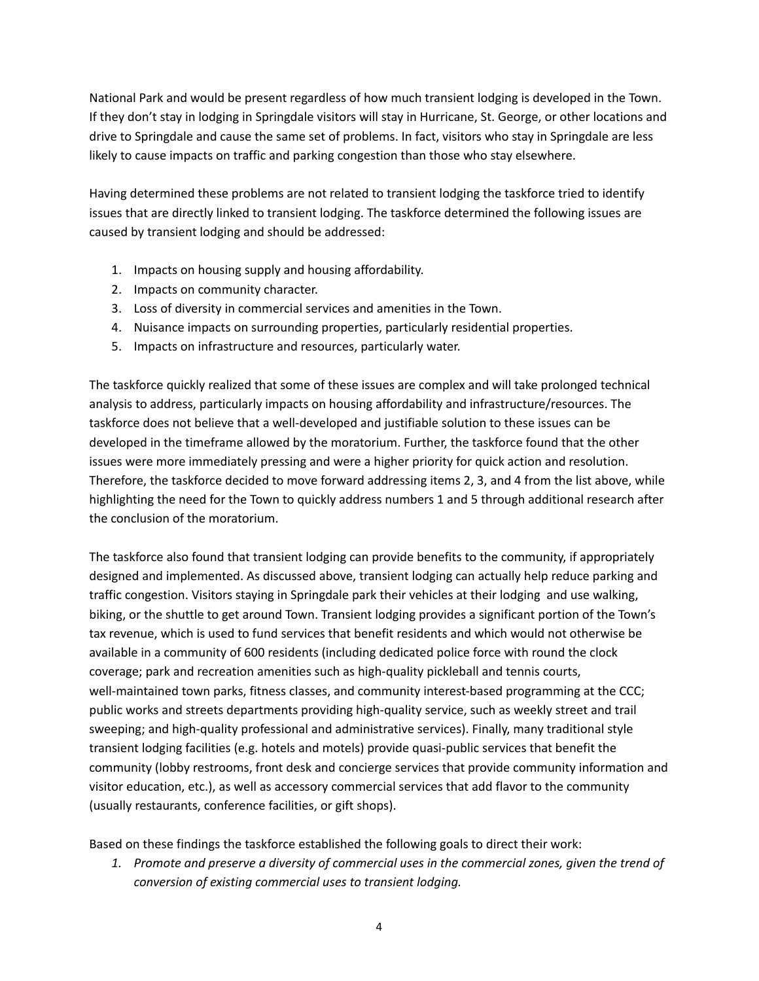National Park and would be present regardless of how much transient lodging is developed in the Town. If they don't stay in lodging in Springdale visitors will stay in Hurricane, St. George, or other locations and drive to Springdale and cause the same set of problems. In fact, visitors who stay in Springdale are less likely to cause impacts on traffic and parking congestion than those who stay elsewhere.

Having determined these problems are not related to transient lodging the taskforce tried to identify issues that are directly linked to transient lodging. The taskforce determined the following issues are caused by transient lodging and should be addressed:

- 1. Impacts on housing supply and housing affordability.
- 2. Impacts on community character.
- 3. Loss of diversity in commercial services and amenities in the Town.
- 4. Nuisance impacts on surrounding properties, particularly residential properties.
- 5. Impacts on infrastructure and resources, particularly water.

The taskforce quickly realized that some of these issues are complex and will take prolonged technical analysis to address, particularly impacts on housing affordability and infrastructure/resources. The taskforce does not believe that a well-developed and justifiable solution to these issues can be developed in the timeframe allowed by the moratorium. Further, the taskforce found that the other issues were more immediately pressing and were a higher priority for quick action and resolution. Therefore, the taskforce decided to move forward addressing items 2, 3, and 4 from the list above, while highlighting the need for the Town to quickly address numbers 1 and 5 through additional research after the conclusion of the moratorium.

The taskforce also found that transient lodging can provide benefits to the community, if appropriately designed and implemented. As discussed above, transient lodging can actually help reduce parking and traffic congestion. Visitors staying in Springdale park their vehicles at their lodging and use walking, biking, or the shuttle to get around Town. Transient lodging provides a significant portion of the Town's tax revenue, which is used to fund services that benefit residents and which would not otherwise be available in a community of 600 residents (including dedicated police force with round the clock coverage; park and recreation amenities such as high-quality pickleball and tennis courts, well-maintained town parks, fitness classes, and community interest-based programming at the CCC; public works and streets departments providing high-quality service, such as weekly street and trail sweeping; and high-quality professional and administrative services). Finally, many traditional style transient lodging facilities (e.g. hotels and motels) provide quasi-public services that benefit the community (lobby restrooms, front desk and concierge services that provide community information and visitor education, etc.), as well as accessory commercial services that add flavor to the community (usually restaurants, conference facilities, or gift shops).

Based on these findings the taskforce established the following goals to direct their work:

*1. Promote and preserve a diversity of commercial uses in the commercial zones, given the trend of conversion of existing commercial uses to transient lodging.*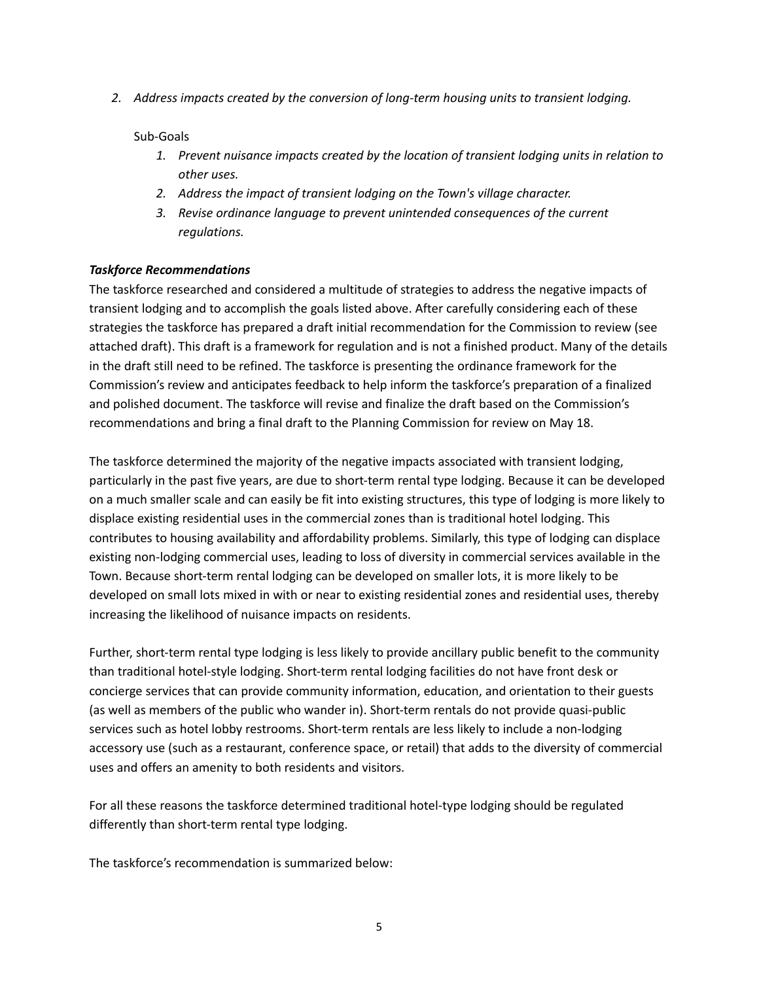*2. Address impacts created by the conversion of long-term housing units to transient lodging.*

#### Sub-Goals

- *1. Prevent nuisance impacts created by the location of transient lodging units in relation to other uses.*
- *2. Address the impact of transient lodging on the Town's village character.*
- *3. Revise ordinance language to prevent unintended consequences of the current regulations.*

## *Taskforce Recommendations*

The taskforce researched and considered a multitude of strategies to address the negative impacts of transient lodging and to accomplish the goals listed above. After carefully considering each of these strategies the taskforce has prepared a draft initial recommendation for the Commission to review (see attached draft). This draft is a framework for regulation and is not a finished product. Many of the details in the draft still need to be refined. The taskforce is presenting the ordinance framework for the Commission's review and anticipates feedback to help inform the taskforce's preparation of a finalized and polished document. The taskforce will revise and finalize the draft based on the Commission's recommendations and bring a final draft to the Planning Commission for review on May 18.

The taskforce determined the majority of the negative impacts associated with transient lodging, particularly in the past five years, are due to short-term rental type lodging. Because it can be developed on a much smaller scale and can easily be fit into existing structures, this type of lodging is more likely to displace existing residential uses in the commercial zones than is traditional hotel lodging. This contributes to housing availability and affordability problems. Similarly, this type of lodging can displace existing non-lodging commercial uses, leading to loss of diversity in commercial services available in the Town. Because short-term rental lodging can be developed on smaller lots, it is more likely to be developed on small lots mixed in with or near to existing residential zones and residential uses, thereby increasing the likelihood of nuisance impacts on residents.

Further, short-term rental type lodging is less likely to provide ancillary public benefit to the community than traditional hotel-style lodging. Short-term rental lodging facilities do not have front desk or concierge services that can provide community information, education, and orientation to their guests (as well as members of the public who wander in). Short-term rentals do not provide quasi-public services such as hotel lobby restrooms. Short-term rentals are less likely to include a non-lodging accessory use (such as a restaurant, conference space, or retail) that adds to the diversity of commercial uses and offers an amenity to both residents and visitors.

For all these reasons the taskforce determined traditional hotel-type lodging should be regulated differently than short-term rental type lodging.

The taskforce's recommendation is summarized below: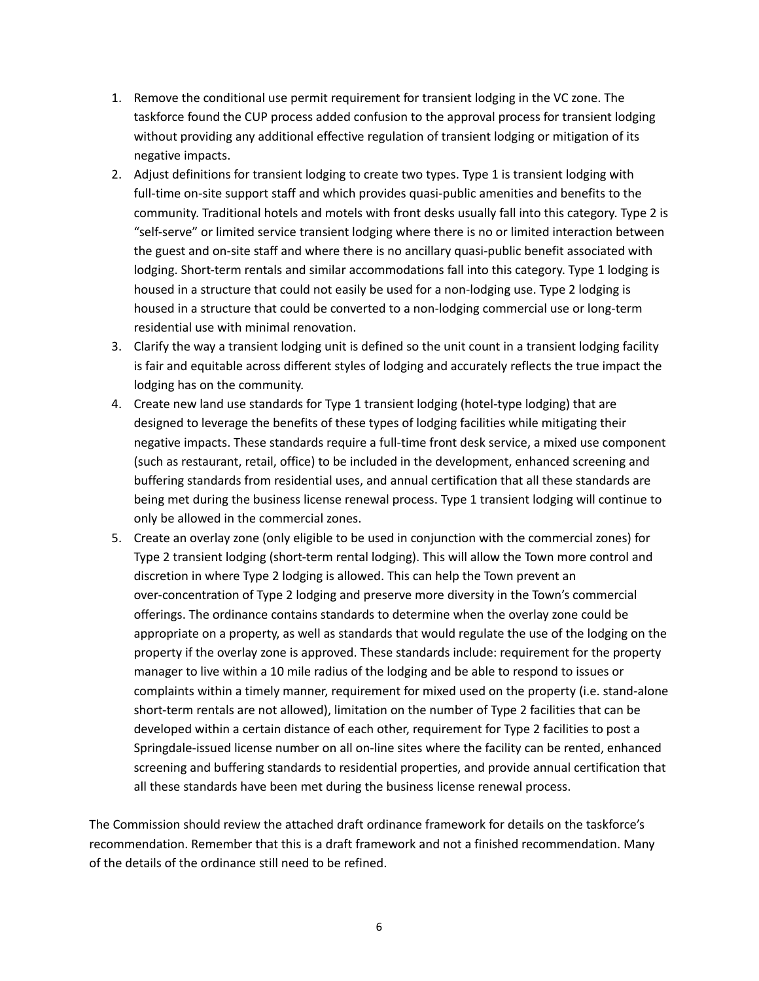- 1. Remove the conditional use permit requirement for transient lodging in the VC zone. The taskforce found the CUP process added confusion to the approval process for transient lodging without providing any additional effective regulation of transient lodging or mitigation of its negative impacts.
- 2. Adjust definitions for transient lodging to create two types. Type 1 is transient lodging with full-time on-site support staff and which provides quasi-public amenities and benefits to the community. Traditional hotels and motels with front desks usually fall into this category. Type 2 is "self-serve" or limited service transient lodging where there is no or limited interaction between the guest and on-site staff and where there is no ancillary quasi-public benefit associated with lodging. Short-term rentals and similar accommodations fall into this category. Type 1 lodging is housed in a structure that could not easily be used for a non-lodging use. Type 2 lodging is housed in a structure that could be converted to a non-lodging commercial use or long-term residential use with minimal renovation.
- 3. Clarify the way a transient lodging unit is defined so the unit count in a transient lodging facility is fair and equitable across different styles of lodging and accurately reflects the true impact the lodging has on the community.
- 4. Create new land use standards for Type 1 transient lodging (hotel-type lodging) that are designed to leverage the benefits of these types of lodging facilities while mitigating their negative impacts. These standards require a full-time front desk service, a mixed use component (such as restaurant, retail, office) to be included in the development, enhanced screening and buffering standards from residential uses, and annual certification that all these standards are being met during the business license renewal process. Type 1 transient lodging will continue to only be allowed in the commercial zones.
- 5. Create an overlay zone (only eligible to be used in conjunction with the commercial zones) for Type 2 transient lodging (short-term rental lodging). This will allow the Town more control and discretion in where Type 2 lodging is allowed. This can help the Town prevent an over-concentration of Type 2 lodging and preserve more diversity in the Town's commercial offerings. The ordinance contains standards to determine when the overlay zone could be appropriate on a property, as well as standards that would regulate the use of the lodging on the property if the overlay zone is approved. These standards include: requirement for the property manager to live within a 10 mile radius of the lodging and be able to respond to issues or complaints within a timely manner, requirement for mixed used on the property (i.e. stand-alone short-term rentals are not allowed), limitation on the number of Type 2 facilities that can be developed within a certain distance of each other, requirement for Type 2 facilities to post a Springdale-issued license number on all on-line sites where the facility can be rented, enhanced screening and buffering standards to residential properties, and provide annual certification that all these standards have been met during the business license renewal process.

The Commission should review the attached draft ordinance framework for details on the taskforce's recommendation. Remember that this is a draft framework and not a finished recommendation. Many of the details of the ordinance still need to be refined.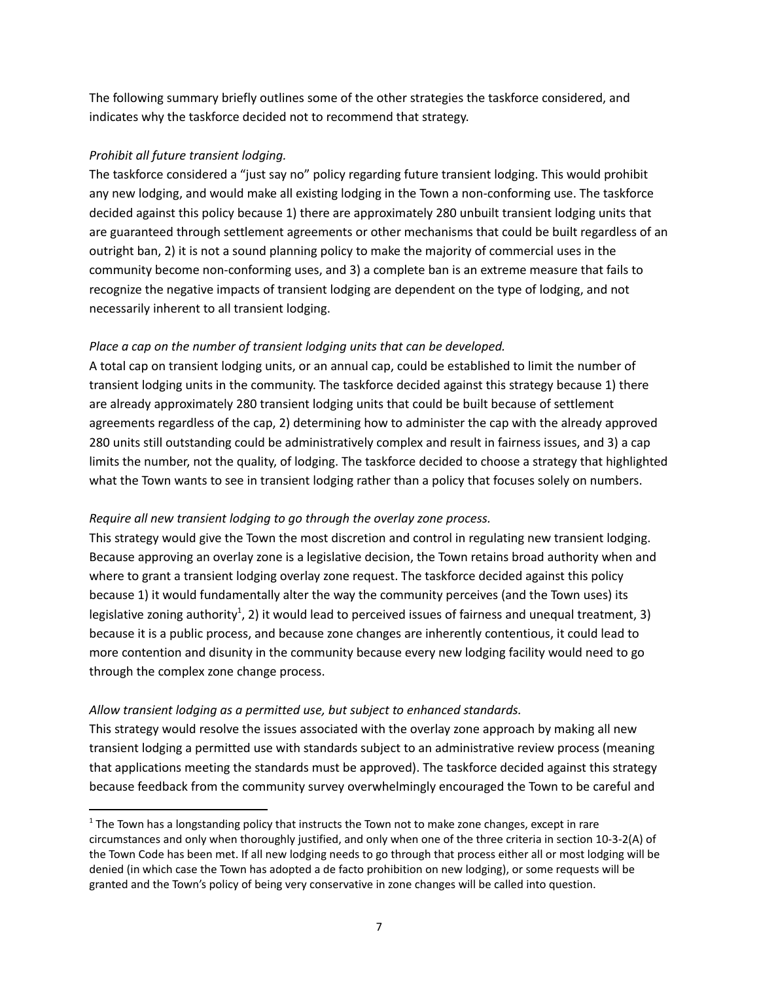The following summary briefly outlines some of the other strategies the taskforce considered, and indicates why the taskforce decided not to recommend that strategy.

## *Prohibit all future transient lodging.*

The taskforce considered a "just say no" policy regarding future transient lodging. This would prohibit any new lodging, and would make all existing lodging in the Town a non-conforming use. The taskforce decided against this policy because 1) there are approximately 280 unbuilt transient lodging units that are guaranteed through settlement agreements or other mechanisms that could be built regardless of an outright ban, 2) it is not a sound planning policy to make the majority of commercial uses in the community become non-conforming uses, and 3) a complete ban is an extreme measure that fails to recognize the negative impacts of transient lodging are dependent on the type of lodging, and not necessarily inherent to all transient lodging.

## *Place a cap on the number of transient lodging units that can be developed.*

A total cap on transient lodging units, or an annual cap, could be established to limit the number of transient lodging units in the community. The taskforce decided against this strategy because 1) there are already approximately 280 transient lodging units that could be built because of settlement agreements regardless of the cap, 2) determining how to administer the cap with the already approved 280 units still outstanding could be administratively complex and result in fairness issues, and 3) a cap limits the number, not the quality, of lodging. The taskforce decided to choose a strategy that highlighted what the Town wants to see in transient lodging rather than a policy that focuses solely on numbers.

#### *Require all new transient lodging to go through the overlay zone process.*

This strategy would give the Town the most discretion and control in regulating new transient lodging. Because approving an overlay zone is a legislative decision, the Town retains broad authority when and where to grant a transient lodging overlay zone request. The taskforce decided against this policy because 1) it would fundamentally alter the way the community perceives (and the Town uses) its legislative zoning authority<sup>1</sup>, 2) it would lead to perceived issues of fairness and unequal treatment, 3) because it is a public process, and because zone changes are inherently contentious, it could lead to more contention and disunity in the community because every new lodging facility would need to go through the complex zone change process.

## *Allow transient lodging as a permitted use, but subject to enhanced standards.*

This strategy would resolve the issues associated with the overlay zone approach by making all new transient lodging a permitted use with standards subject to an administrative review process (meaning that applications meeting the standards must be approved). The taskforce decided against this strategy because feedback from the community survey overwhelmingly encouraged the Town to be careful and

 $1$  The Town has a longstanding policy that instructs the Town not to make zone changes, except in rare circumstances and only when thoroughly justified, and only when one of the three criteria in section 10-3-2(A) of the Town Code has been met. If all new lodging needs to go through that process either all or most lodging will be denied (in which case the Town has adopted a de facto prohibition on new lodging), or some requests will be granted and the Town's policy of being very conservative in zone changes will be called into question.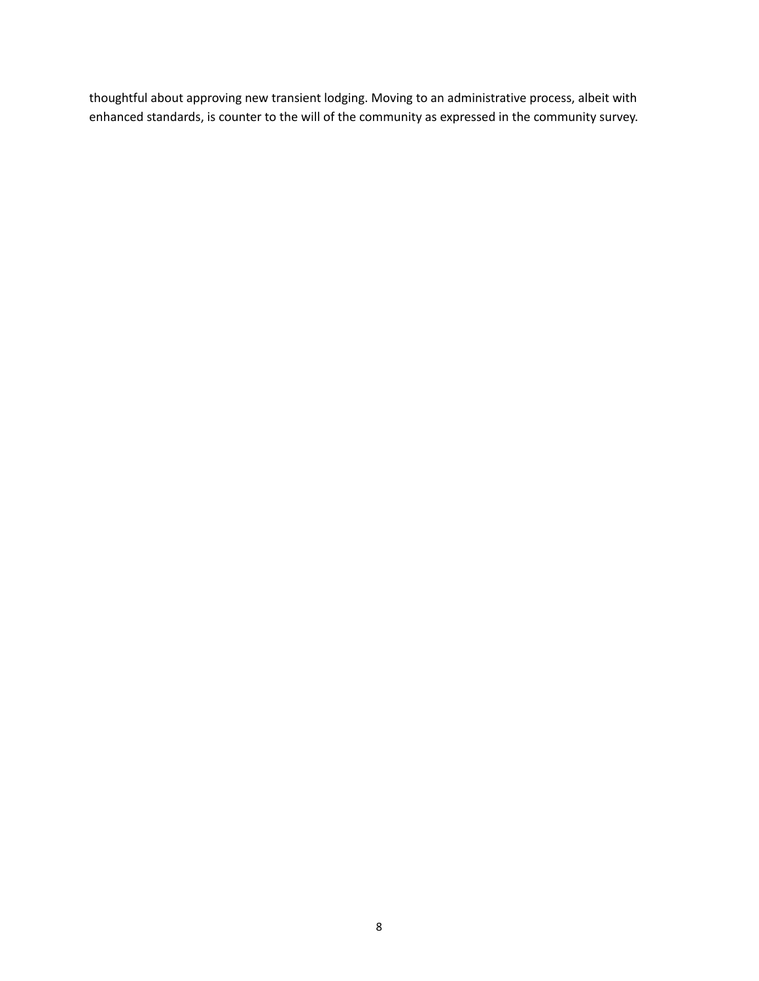thoughtful about approving new transient lodging. Moving to an administrative process, albeit with enhanced standards, is counter to the will of the community as expressed in the community survey.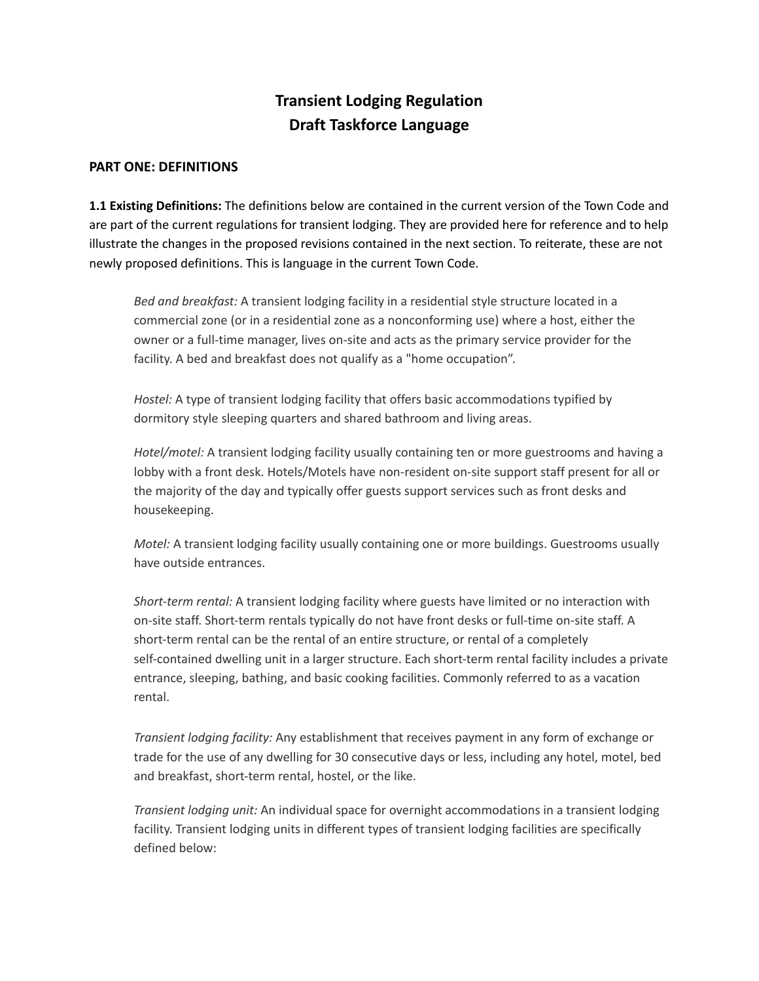# **Transient Lodging Regulation Draft Taskforce Language**

## **PART ONE: DEFINITIONS**

**1.1 Existing Definitions:** The definitions below are contained in the current version of the Town Code and are part of the current regulations for transient lodging. They are provided here for reference and to help illustrate the changes in the proposed revisions contained in the next section. To reiterate, these are not newly proposed definitions. This is language in the current Town Code.

*Bed and breakfast:* A transient lodging facility in a residential style structure located in a commercial zone (or in a residential zone as a nonconforming use) where a host, either the owner or a full-time manager, lives on-site and acts as the primary service provider for the facility. A bed and breakfast does not qualify as a "home occupation".

*Hostel:* A type of transient lodging facility that offers basic accommodations typified by dormitory style sleeping quarters and shared bathroom and living areas.

*Hotel/motel:* A transient lodging facility usually containing ten or more guestrooms and having a lobby with a front desk. Hotels/Motels have non-resident on-site support staff present for all or the majority of the day and typically offer guests support services such as front desks and housekeeping.

*Motel:* A transient lodging facility usually containing one or more buildings. Guestrooms usually have outside entrances.

*Short-term rental:* A transient lodging facility where guests have limited or no interaction with on-site staff. Short-term rentals typically do not have front desks or full-time on-site staff. A short-term rental can be the rental of an entire structure, or rental of a completely self-contained dwelling unit in a larger structure. Each short-term rental facility includes a private entrance, sleeping, bathing, and basic cooking facilities. Commonly referred to as a vacation rental.

*Transient lodging facility:* Any establishment that receives payment in any form of exchange or trade for the use of any dwelling for 30 consecutive days or less, including any hotel, motel, bed and breakfast, short-term rental, hostel, or the like.

*Transient lodging unit:* An individual space for overnight accommodations in a transient lodging facility. Transient lodging units in different types of transient lodging facilities are specifically defined below: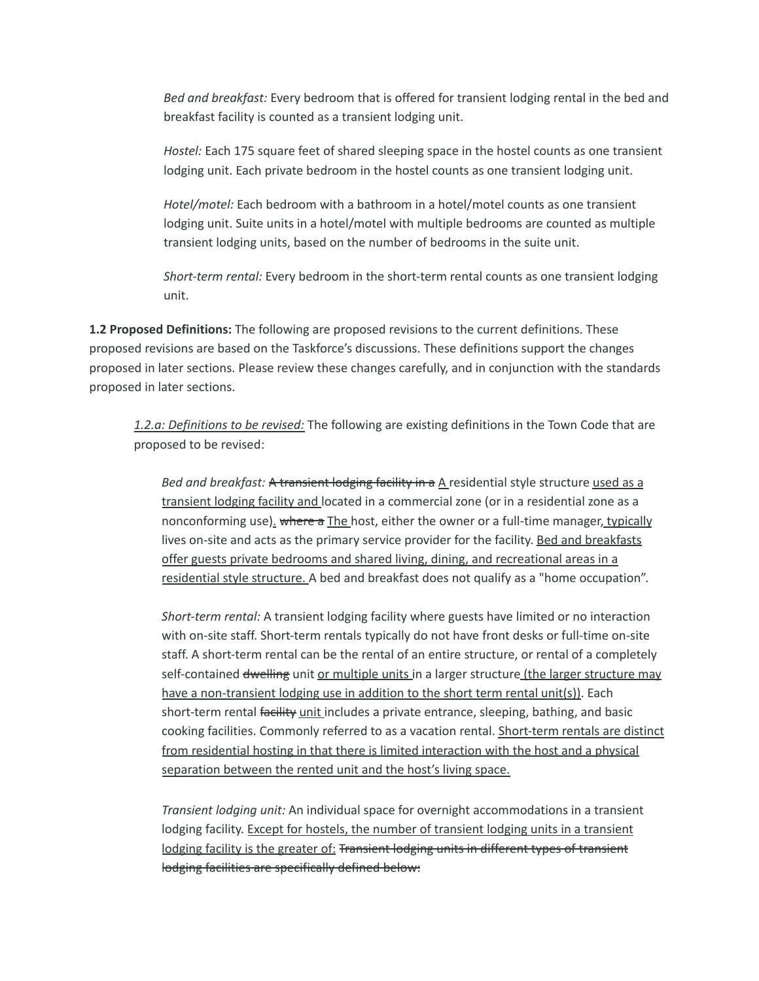*Bed and breakfast:* Every bedroom that is offered for transient lodging rental in the bed and breakfast facility is counted as a transient lodging unit.

*Hostel:* Each 175 square feet of shared sleeping space in the hostel counts as one transient lodging unit. Each private bedroom in the hostel counts as one transient lodging unit.

*Hotel/motel:* Each bedroom with a bathroom in a hotel/motel counts as one transient lodging unit. Suite units in a hotel/motel with multiple bedrooms are counted as multiple transient lodging units, based on the number of bedrooms in the suite unit.

*Short-term rental:* Every bedroom in the short-term rental counts as one transient lodging unit.

**1.2 Proposed Definitions:** The following are proposed revisions to the current definitions. These proposed revisions are based on the Taskforce's discussions. These definitions support the changes proposed in later sections. Please review these changes carefully, and in conjunction with the standards proposed in later sections.

*1.2.a: Definitions to be revised:* The following are existing definitions in the Town Code that are proposed to be revised:

*Bed and breakfast:* A transient lodging facility in a A residential style structure used as a transient lodging facility and located in a commercial zone (or in a residential zone as a nonconforming use). where a The host, either the owner or a full-time manager, typically lives on-site and acts as the primary service provider for the facility. Bed and breakfasts offer guests private bedrooms and shared living, dining, and recreational areas in a residential style structure. A bed and breakfast does not qualify as a "home occupation".

*Short-term rental:* A transient lodging facility where guests have limited or no interaction with on-site staff. Short-term rentals typically do not have front desks or full-time on-site staff. A short-term rental can be the rental of an entire structure, or rental of a completely self-contained dwelling unit or multiple units in a larger structure (the larger structure may have a non-transient lodging use in addition to the short term rental unit(s)). Each short-term rental facility unit includes a private entrance, sleeping, bathing, and basic cooking facilities. Commonly referred to as a vacation rental. Short-term rentals are distinct from residential hosting in that there is limited interaction with the host and a physical separation between the rented unit and the host's living space.

*Transient lodging unit:* An individual space for overnight accommodations in a transient lodging facility. Except for hostels, the number of transient lodging units in a transient lodging facility is the greater of: Transient lodging units in different types of transient lodging facilities are specifically defined below: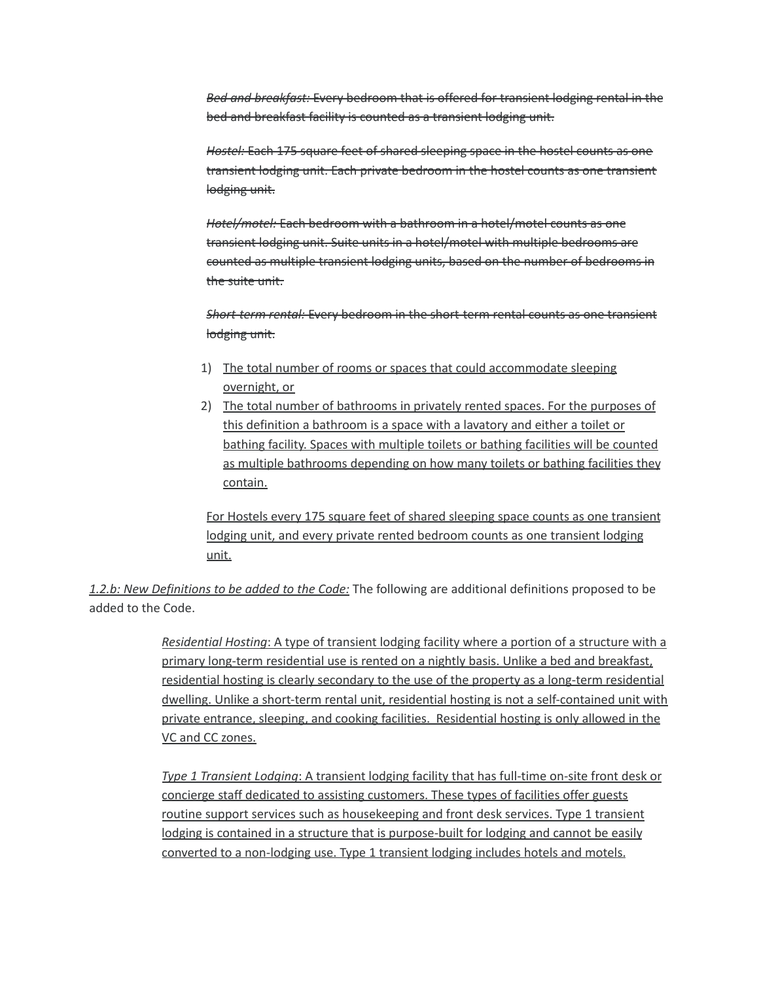*Bed and breakfast:* Every bedroom that is offered for transient lodging rental in the bed and breakfast facility is counted as a transient lodging unit.

*Hostel:* Each 175 square feet of shared sleeping space in the hostel counts as one transient lodging unit. Each private bedroom in the hostel counts as one transient lodging unit.

*Hotel/motel:* Each bedroom with a bathroom in a hotel/motel counts as one transient lodging unit. Suite units in a hotel/motel with multiple bedrooms are counted as multiple transient lodging units, based on the number of bedrooms in the suite unit.

*Short-term rental:* Every bedroom in the short-term rental counts as one transient lodging unit.

- 1) The total number of rooms or spaces that could accommodate sleeping overnight, or
- 2) The total number of bathrooms in privately rented spaces. For the purposes of this definition a bathroom is a space with a lavatory and either a toilet or bathing facility. Spaces with multiple toilets or bathing facilities will be counted as multiple bathrooms depending on how many toilets or bathing facilities they contain.

For Hostels every 175 square feet of shared sleeping space counts as one transient lodging unit, and every private rented bedroom counts as one transient lodging unit.

*1.2.b: New Definitions to be added to the Code:* The following are additional definitions proposed to be added to the Code.

> *Residential Hosting*: A type of transient lodging facility where a portion of a structure with a primary long-term residential use is rented on a nightly basis. Unlike a bed and breakfast, residential hosting is clearly secondary to the use of the property as a long-term residential dwelling. Unlike a short-term rental unit, residential hosting is not a self-contained unit with private entrance, sleeping, and cooking facilities. Residential hosting is only allowed in the VC and CC zones.

*Type 1 Transient Lodging*: A transient lodging facility that has full-time on-site front desk or concierge staff dedicated to assisting customers. These types of facilities offer guests routine support services such as housekeeping and front desk services. Type 1 transient lodging is contained in a structure that is purpose-built for lodging and cannot be easily converted to a non-lodging use. Type 1 transient lodging includes hotels and motels.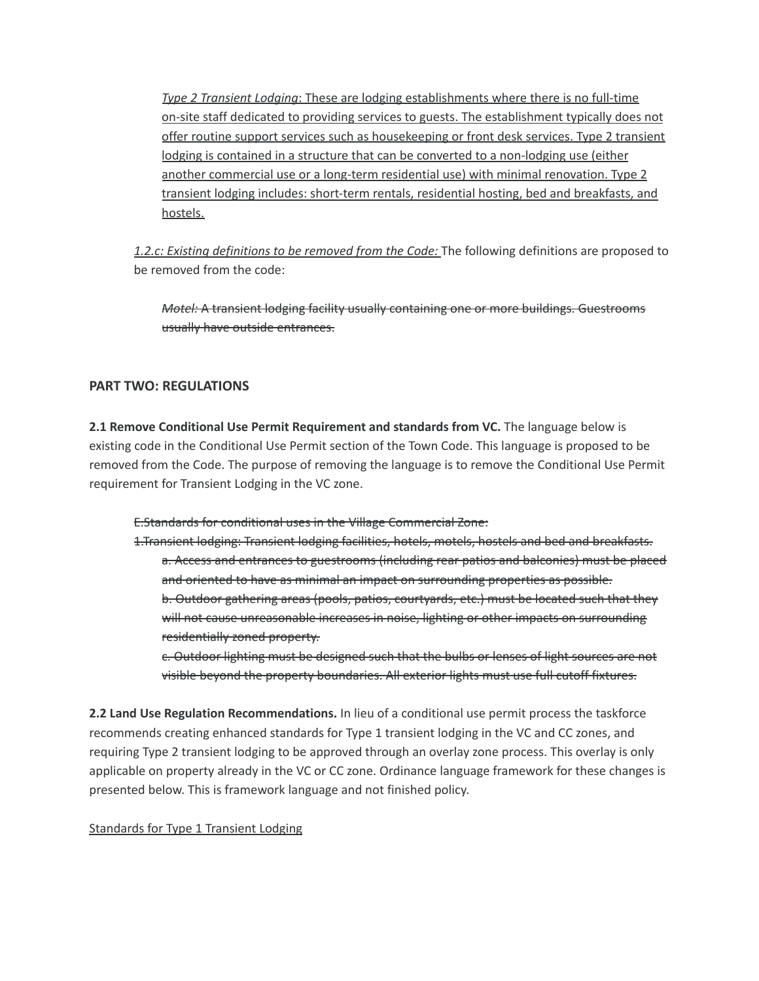*Type 2 Transient Lodging*: These are lodging establishments where there is no full-time on-site staff dedicated to providing services to guests. The establishment typically does not offer routine support services such as housekeeping or front desk services. Type 2 transient lodging is contained in a structure that can be converted to a non-lodging use (either another commercial use or a long-term residential use) with minimal renovation. Type 2 transient lodging includes: short-term rentals, residential hosting, bed and breakfasts, and hostels.

*1.2.c: Existing definitions to be removed from the Code:* The following definitions are proposed to be removed from the code:

*Motel:* A transient lodging facility usually containing one or more buildings. Guestrooms usually have outside entrances.

## **PART TWO: REGULATIONS**

**2.1 Remove Conditional Use Permit Requirement and standards from VC.** The language below is existing code in the Conditional Use Permit section of the Town Code. This language is proposed to be removed from the Code. The purpose of removing the language is to remove the Conditional Use Permit requirement for Transient Lodging in the VC zone.

E.Standards for conditional uses in the Village Commercial Zone:

1.Transient lodging: Transient lodging facilities, hotels, motels, hostels and bed and breakfasts. a. Access and entrances to guestrooms (including rear patios and balconies) must be placed and oriented to have as minimal an impact on surrounding properties as possible. b. Outdoor gathering areas (pools, patios, courtyards, etc.) must be located such that they will not cause unreasonable increases in noise, lighting or other impacts on surrounding residentially zoned property.

c. Outdoor lighting must be designed such that the bulbs or lenses of light sources are not visible beyond the property boundaries. All exterior lights must use full cutoff fixtures.

**2.2 Land Use Regulation Recommendations.** In lieu of a conditional use permit process the taskforce recommends creating enhanced standards for Type 1 transient lodging in the VC and CC zones, and requiring Type 2 transient lodging to be approved through an overlay zone process. This overlay is only applicable on property already in the VC or CC zone. Ordinance language framework for these changes is presented below. This is framework language and not finished policy.

#### Standards for Type 1 Transient Lodging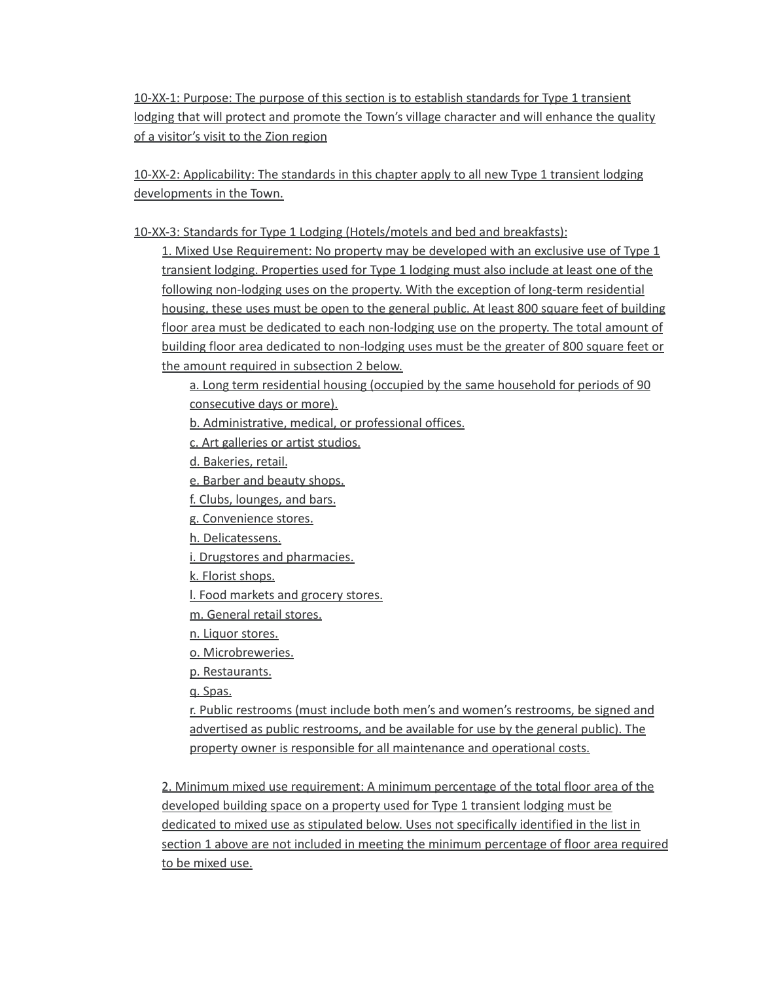10-XX-1: Purpose: The purpose of this section is to establish standards for Type 1 transient lodging that will protect and promote the Town's village character and will enhance the quality of a visitor's visit to the Zion region

10-XX-2: Applicability: The standards in this chapter apply to all new Type 1 transient lodging developments in the Town.

10-XX-3: Standards for Type 1 Lodging (Hotels/motels and bed and breakfasts):

1. Mixed Use Requirement: No property may be developed with an exclusive use of Type 1 transient lodging. Properties used for Type 1 lodging must also include at least one of the following non-lodging uses on the property. With the exception of long-term residential housing, these uses must be open to the general public. At least 800 square feet of building floor area must be dedicated to each non-lodging use on the property. The total amount of building floor area dedicated to non-lodging uses must be the greater of 800 square feet or the amount required in subsection 2 below.

a. Long term residential housing (occupied by the same household for periods of 90 consecutive days or more).

b. Administrative, medical, or professional offices.

c. Art galleries or artist studios.

d. Bakeries, retail.

e. Barber and beauty shops.

f. Clubs, lounges, and bars.

g. Convenience stores.

h. Delicatessens.

i. Drugstores and pharmacies.

k. Florist shops.

l. Food markets and grocery stores.

m. General retail stores.

n. Liquor stores.

o. Microbreweries.

p. Restaurants.

q. Spas.

r. Public restrooms (must include both men's and women's restrooms, be signed and advertised as public restrooms, and be available for use by the general public). The property owner is responsible for all maintenance and operational costs.

2. Minimum mixed use requirement: A minimum percentage of the total floor area of the developed building space on a property used for Type 1 transient lodging must be dedicated to mixed use as stipulated below. Uses not specifically identified in the list in section 1 above are not included in meeting the minimum percentage of floor area required to be mixed use.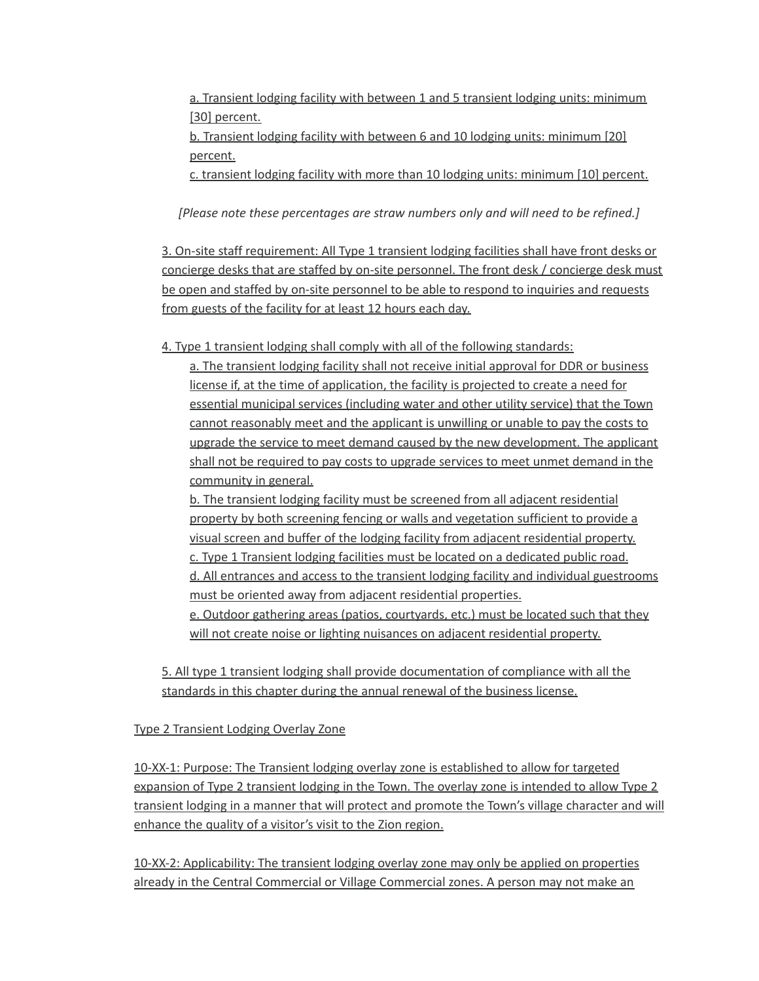a. Transient lodging facility with between 1 and 5 transient lodging units: minimum [30] percent.

b. Transient lodging facility with between 6 and 10 lodging units: minimum [20] percent.

c. transient lodging facility with more than 10 lodging units: minimum [10] percent.

*[Please note these percentages are straw numbers only and will need to be refined.]*

3. On-site staff requirement: All Type 1 transient lodging facilities shall have front desks or concierge desks that are staffed by on-site personnel. The front desk / concierge desk must be open and staffed by on-site personnel to be able to respond to inquiries and requests from guests of the facility for at least 12 hours each day.

4. Type 1 transient lodging shall comply with all of the following standards:

a. The transient lodging facility shall not receive initial approval for DDR or business license if, at the time of application, the facility is projected to create a need for essential municipal services (including water and other utility service) that the Town cannot reasonably meet and the applicant is unwilling or unable to pay the costs to upgrade the service to meet demand caused by the new development. The applicant shall not be required to pay costs to upgrade services to meet unmet demand in the community in general.

b. The transient lodging facility must be screened from all adjacent residential property by both screening fencing or walls and vegetation sufficient to provide a visual screen and buffer of the lodging facility from adjacent residential property. c. Type 1 Transient lodging facilities must be located on a dedicated public road. d. All entrances and access to the transient lodging facility and individual guestrooms must be oriented away from adjacent residential properties. e. Outdoor gathering areas (patios, courtyards, etc.) must be located such that they will not create noise or lighting nuisances on adjacent residential property.

5. All type 1 transient lodging shall provide documentation of compliance with all the standards in this chapter during the annual renewal of the business license.

Type 2 Transient Lodging Overlay Zone

10-XX-1: Purpose: The Transient lodging overlay zone is established to allow for targeted expansion of Type 2 transient lodging in the Town. The overlay zone is intended to allow Type 2 transient lodging in a manner that will protect and promote the Town's village character and will enhance the quality of a visitor's visit to the Zion region.

10-XX-2: Applicability: The transient lodging overlay zone may only be applied on properties already in the Central Commercial or Village Commercial zones. A person may not make an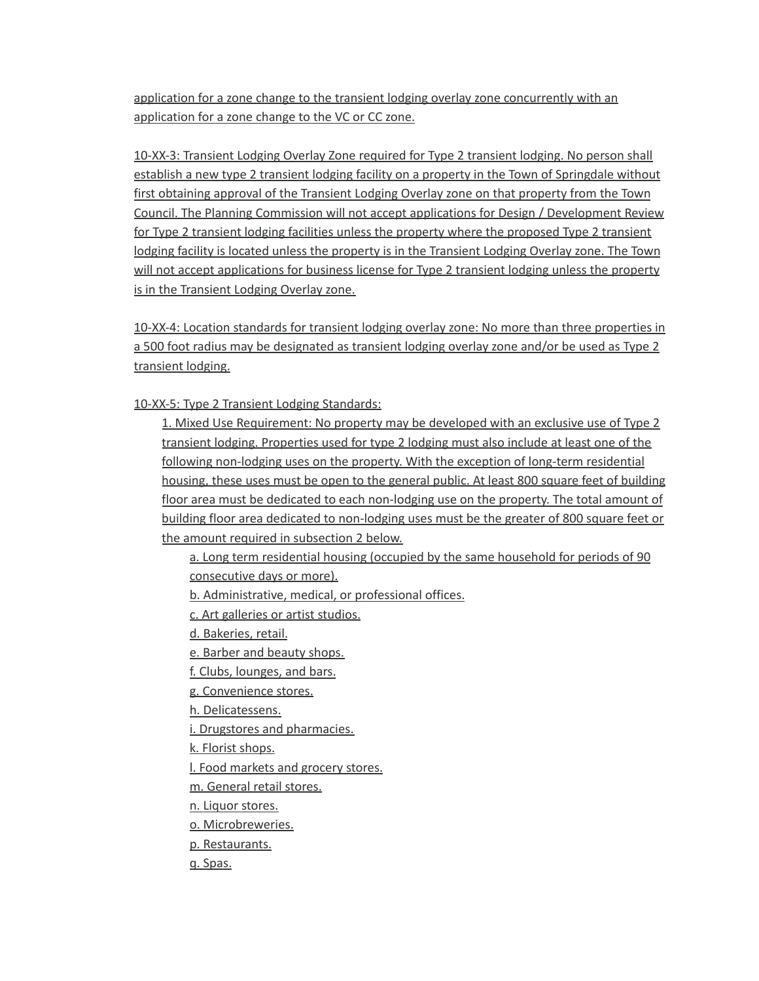application for a zone change to the transient lodging overlay zone concurrently with an application for a zone change to the VC or CC zone.

10-XX-3: Transient Lodging Overlay Zone required for Type 2 transient lodging. No person shall establish a new type 2 transient lodging facility on a property in the Town of Springdale without first obtaining approval of the Transient Lodging Overlay zone on that property from the Town Council. The Planning Commission will not accept applications for Design / Development Review for Type 2 transient lodging facilities unless the property where the proposed Type 2 transient lodging facility is located unless the property is in the Transient Lodging Overlay zone. The Town will not accept applications for business license for Type 2 transient lodging unless the property is in the Transient Lodging Overlay zone.

10-XX-4: Location standards for transient lodging overlay zone: No more than three properties in a 500 foot radius may be designated as transient lodging overlay zone and/or be used as Type 2 transient lodging.

10-XX-5: Type 2 Transient Lodging Standards:

1. Mixed Use Requirement: No property may be developed with an exclusive use of Type 2 transient lodging. Properties used for type 2 lodging must also include at least one of the following non-lodging uses on the property. With the exception of long-term residential housing, these uses must be open to the general public. At least 800 square feet of building floor area must be dedicated to each non-lodging use on the property. The total amount of building floor area dedicated to non-lodging uses must be the greater of 800 square feet or the amount required in subsection 2 below.

a. Long term residential housing (occupied by the same household for periods of 90 consecutive days or more).

b. Administrative, medical, or professional offices.

c. Art galleries or artist studios.

d. Bakeries, retail.

e. Barber and beauty shops.

f. Clubs, lounges, and bars.

g. Convenience stores.

h. Delicatessens.

i. Drugstores and pharmacies.

k. Florist shops.

l. Food markets and grocery stores.

m. General retail stores.

n. Liquor stores.

o. Microbreweries.

p. Restaurants.

q. Spas.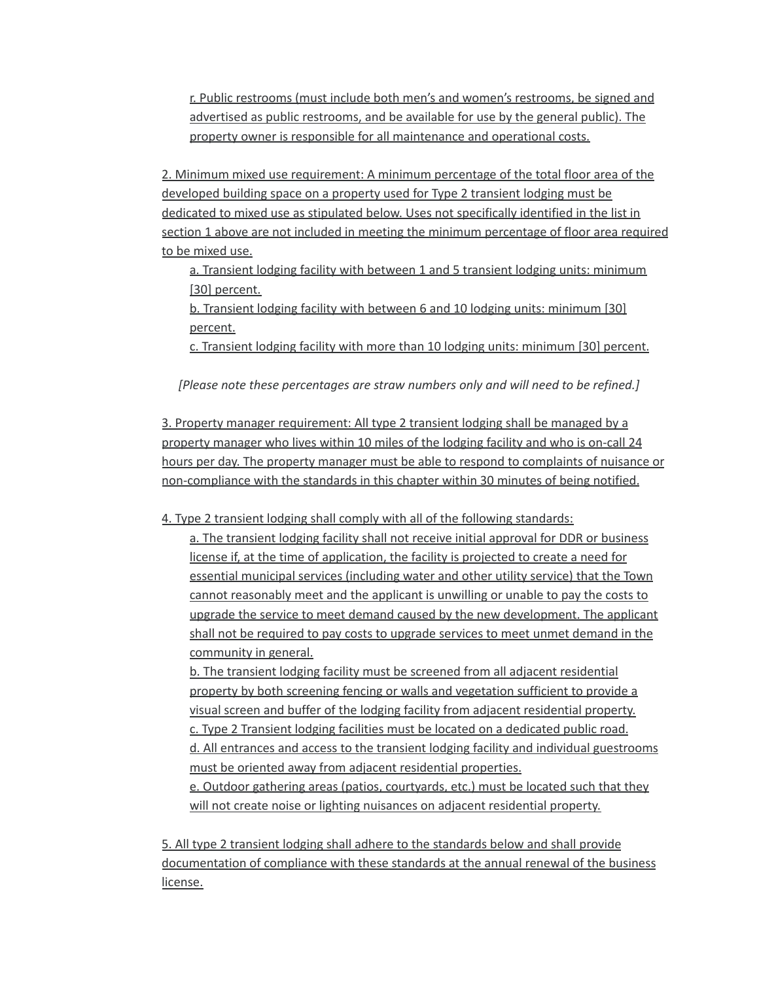r. Public restrooms (must include both men's and women's restrooms, be signed and advertised as public restrooms, and be available for use by the general public). The property owner is responsible for all maintenance and operational costs.

2. Minimum mixed use requirement: A minimum percentage of the total floor area of the developed building space on a property used for Type 2 transient lodging must be dedicated to mixed use as stipulated below. Uses not specifically identified in the list in section 1 above are not included in meeting the minimum percentage of floor area required to be mixed use.

a. Transient lodging facility with between 1 and 5 transient lodging units: minimum [30] percent.

b. Transient lodging facility with between 6 and 10 lodging units: minimum [30] percent.

c. Transient lodging facility with more than 10 lodging units: minimum [30] percent.

*[Please note these percentages are straw numbers only and will need to be refined.]*

3. Property manager requirement: All type 2 transient lodging shall be managed by a property manager who lives within 10 miles of the lodging facility and who is on-call 24 hours per day. The property manager must be able to respond to complaints of nuisance or non-compliance with the standards in this chapter within 30 minutes of being notified.

4. Type 2 transient lodging shall comply with all of the following standards:

a. The transient lodging facility shall not receive initial approval for DDR or business license if, at the time of application, the facility is projected to create a need for essential municipal services (including water and other utility service) that the Town cannot reasonably meet and the applicant is unwilling or unable to pay the costs to upgrade the service to meet demand caused by the new development. The applicant shall not be required to pay costs to upgrade services to meet unmet demand in the community in general.

b. The transient lodging facility must be screened from all adjacent residential property by both screening fencing or walls and vegetation sufficient to provide a visual screen and buffer of the lodging facility from adjacent residential property. c. Type 2 Transient lodging facilities must be located on a dedicated public road. d. All entrances and access to the transient lodging facility and individual guestrooms must be oriented away from adjacent residential properties.

e. Outdoor gathering areas (patios, courtyards, etc.) must be located such that they will not create noise or lighting nuisances on adjacent residential property.

5. All type 2 transient lodging shall adhere to the standards below and shall provide documentation of compliance with these standards at the annual renewal of the business license.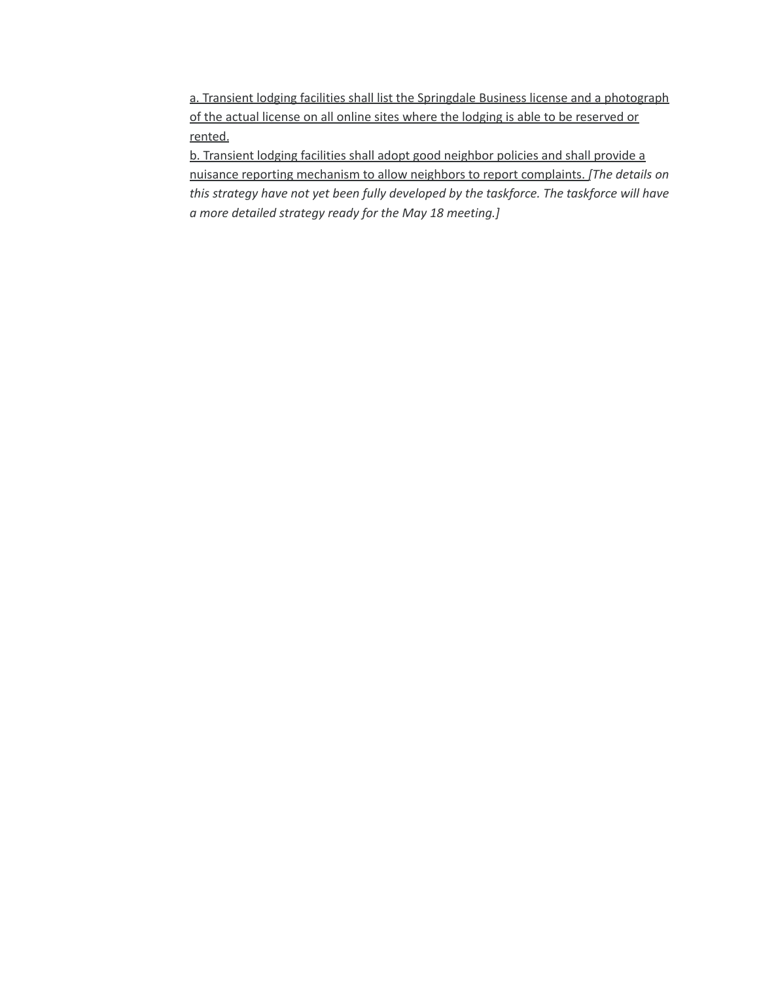a. Transient lodging facilities shall list the Springdale Business license and a photograph of the actual license on all online sites where the lodging is able to be reserved or rented.

b. Transient lodging facilities shall adopt good neighbor policies and shall provide a nuisance reporting mechanism to allow neighbors to report complaints. *[The details on this strategy have not yet been fully developed by the taskforce. The taskforce will have a more detailed strategy ready for the May 18 meeting.]*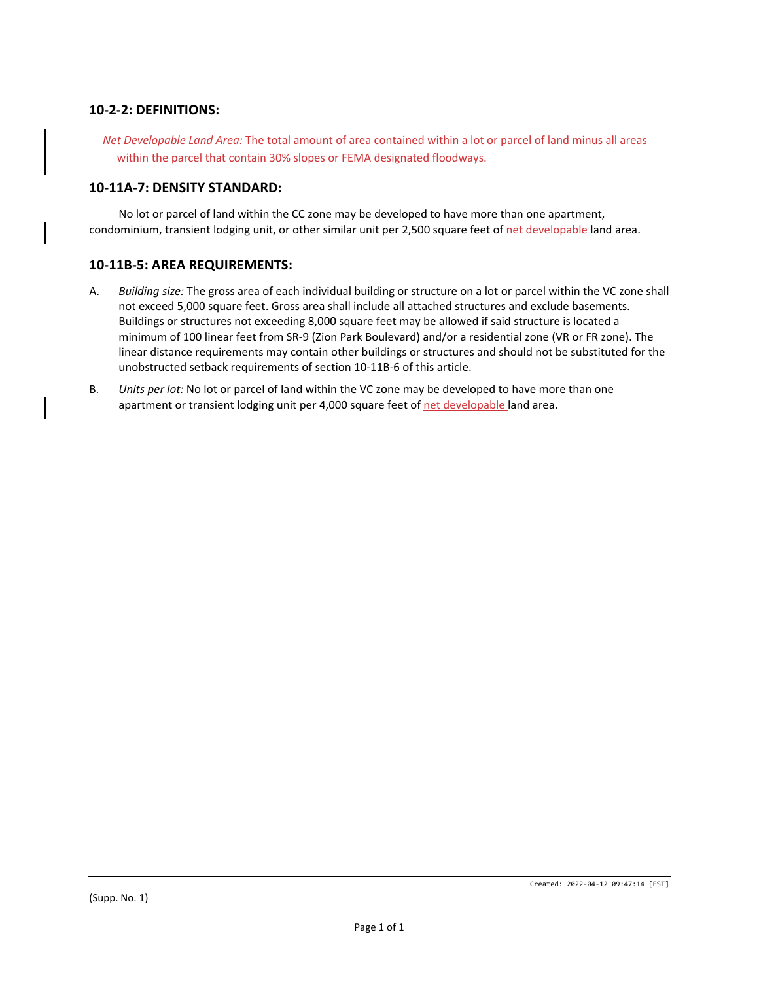## **10‐2‐2: DEFINITIONS:**

*Net Developable Land Area:* The total amount of area contained within a lot or parcel of land minus all areas within the parcel that contain 30% slopes or FEMA designated floodways.

## **10‐11A‐7: DENSITY STANDARD:**

No lot or parcel of land within the CC zone may be developed to have more than one apartment, condominium, transient lodging unit, or other similar unit per 2,500 square feet of net developable land area.

## **10‐11B‐5: AREA REQUIREMENTS:**

- A. *Building size:* The gross area of each individual building or structure on a lot or parcel within the VC zone shall not exceed 5,000 square feet. Gross area shall include all attached structures and exclude basements. Buildings or structures not exceeding 8,000 square feet may be allowed if said structure is located a minimum of 100 linear feet from SR‐9 (Zion Park Boulevard) and/or a residential zone (VR or FR zone). The linear distance requirements may contain other buildings or structures and should not be substituted for the unobstructed setback requirements of section 10‐11B‐6 of this article.
- B. *Units per lot:* No lot or parcel of land within the VC zone may be developed to have more than one apartment or transient lodging unit per 4,000 square feet of net developable land area.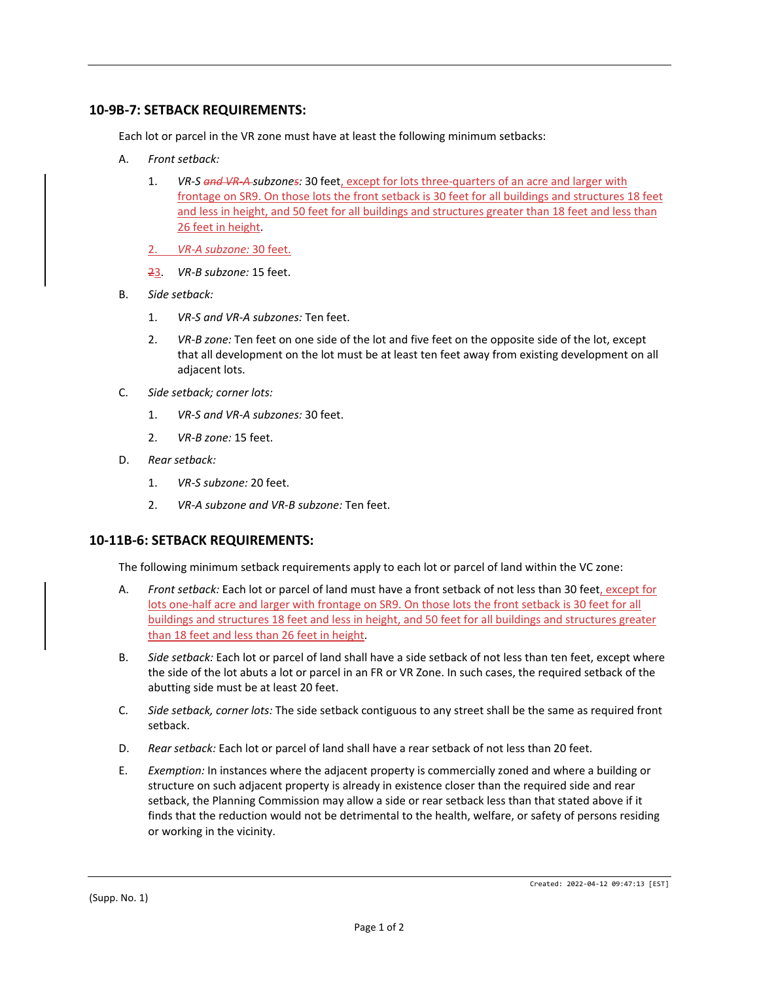## **10‐9B‐7: SETBACK REQUIREMENTS:**

Each lot or parcel in the VR zone must have at least the following minimum setbacks:

- A. *Front setback:*
	- 1. *VR‐S and VR‐A subzones:* 30 feet, except for lots three‐quarters of an acre and larger with frontage on SR9. On those lots the front setback is 30 feet for all buildings and structures 18 feet and less in height, and 50 feet for all buildings and structures greater than 18 feet and less than 26 feet in height.
	- 2. *VR‐A subzone:* 30 feet.
	- 23. *VR‐B subzone:* 15 feet.
- B. *Side setback:*
	- 1. *VR‐S and VR‐A subzones:* Ten feet.
	- 2. *VR-B zone:* Ten feet on one side of the lot and five feet on the opposite side of the lot, except that all development on the lot must be at least ten feet away from existing development on all adjacent lots.
- C. *Side setback; corner lots:*
	- 1. *VR‐S and VR‐A subzones:* 30 feet.
	- 2. *VR‐B zone:* 15 feet.
- D. *Rear setback:*
	- 1. *VR‐S subzone:* 20 feet.
	- 2. *VR‐A subzone and VR‐B subzone:* Ten feet.

#### **10‐11B‐6: SETBACK REQUIREMENTS:**

The following minimum setback requirements apply to each lot or parcel of land within the VC zone:

- A. *Front setback:* Each lot or parcel of land must have a front setback of not less than 30 feet, except for lots one-half acre and larger with frontage on SR9. On those lots the front setback is 30 feet for all buildings and structures 18 feet and less in height, and 50 feet for all buildings and structures greater than 18 feet and less than 26 feet in height.
- B. *Side setback:* Each lot or parcel of land shall have a side setback of not less than ten feet, except where the side of the lot abuts a lot or parcel in an FR or VR Zone. In such cases, the required setback of the abutting side must be at least 20 feet.
- C. *Side setback, corner lots:* The side setback contiguous to any street shall be the same as required front setback.
- D. *Rear setback:* Each lot or parcel of land shall have a rear setback of not less than 20 feet.
- E. *Exemption:* In instances where the adjacent property is commercially zoned and where a building or structure on such adjacent property is already in existence closer than the required side and rear setback, the Planning Commission may allow a side or rear setback less than that stated above if it finds that the reduction would not be detrimental to the health, welfare, or safety of persons residing or working in the vicinity.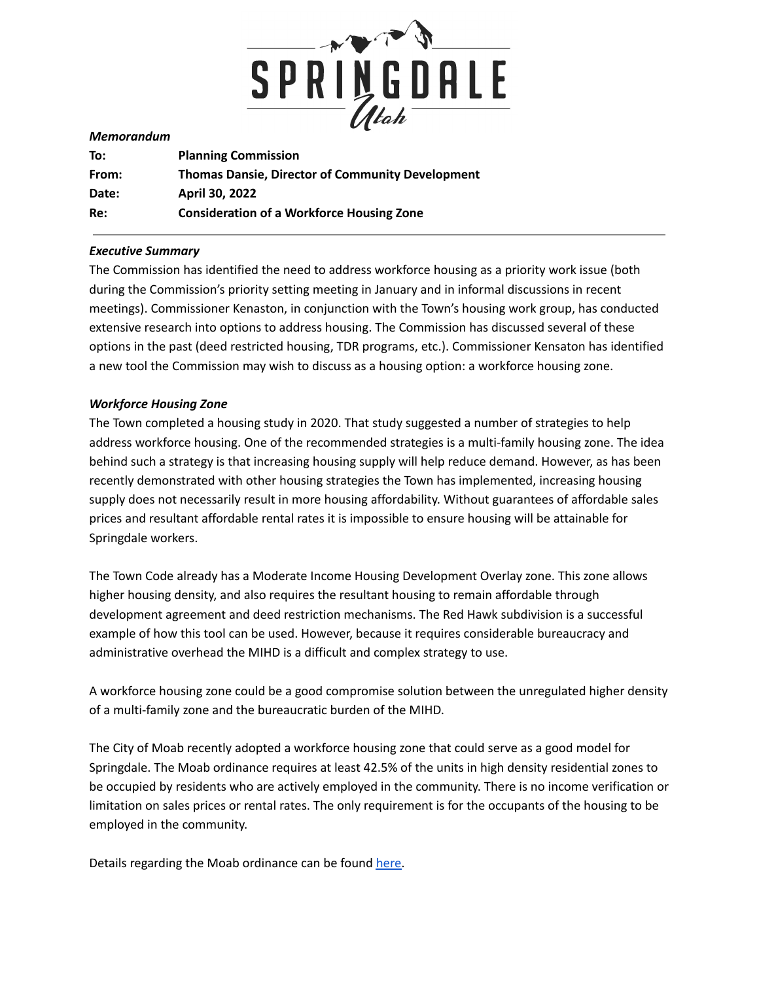

#### *Memorandum*

| To:   | <b>Planning Commission</b>                              |
|-------|---------------------------------------------------------|
| From: | <b>Thomas Dansie, Director of Community Development</b> |
| Date: | April 30, 2022                                          |
| Re:   | <b>Consideration of a Workforce Housing Zone</b>        |

#### *Executive Summary*

The Commission has identified the need to address workforce housing as a priority work issue (both during the Commission's priority setting meeting in January and in informal discussions in recent meetings). Commissioner Kenaston, in conjunction with the Town's housing work group, has conducted extensive research into options to address housing. The Commission has discussed several of these options in the past (deed restricted housing, TDR programs, etc.). Commissioner Kensaton has identified a new tool the Commission may wish to discuss as a housing option: a workforce housing zone.

#### *Workforce Housing Zone*

The Town completed a housing study in 2020. That study suggested a number of strategies to help address workforce housing. One of the recommended strategies is a multi-family housing zone. The idea behind such a strategy is that increasing housing supply will help reduce demand. However, as has been recently demonstrated with other housing strategies the Town has implemented, increasing housing supply does not necessarily result in more housing affordability. Without guarantees of affordable sales prices and resultant affordable rental rates it is impossible to ensure housing will be attainable for Springdale workers.

The Town Code already has a Moderate Income Housing Development Overlay zone. This zone allows higher housing density, and also requires the resultant housing to remain affordable through development agreement and deed restriction mechanisms. The Red Hawk subdivision is a successful example of how this tool can be used. However, because it requires considerable bureaucracy and administrative overhead the MIHD is a difficult and complex strategy to use.

A workforce housing zone could be a good compromise solution between the unregulated higher density of a multi-family zone and the bureaucratic burden of the MIHD.

The City of Moab recently adopted a workforce housing zone that could serve as a good model for Springdale. The Moab ordinance requires at least 42.5% of the units in high density residential zones to be occupied by residents who are actively employed in the community. There is no income verification or limitation on sales prices or rental rates. The only requirement is for the occupants of the housing to be employed in the community.

Details regarding the Moab ordinance can be found [here.](https://moabcity.org/601/Active-Employment-Household-Development-)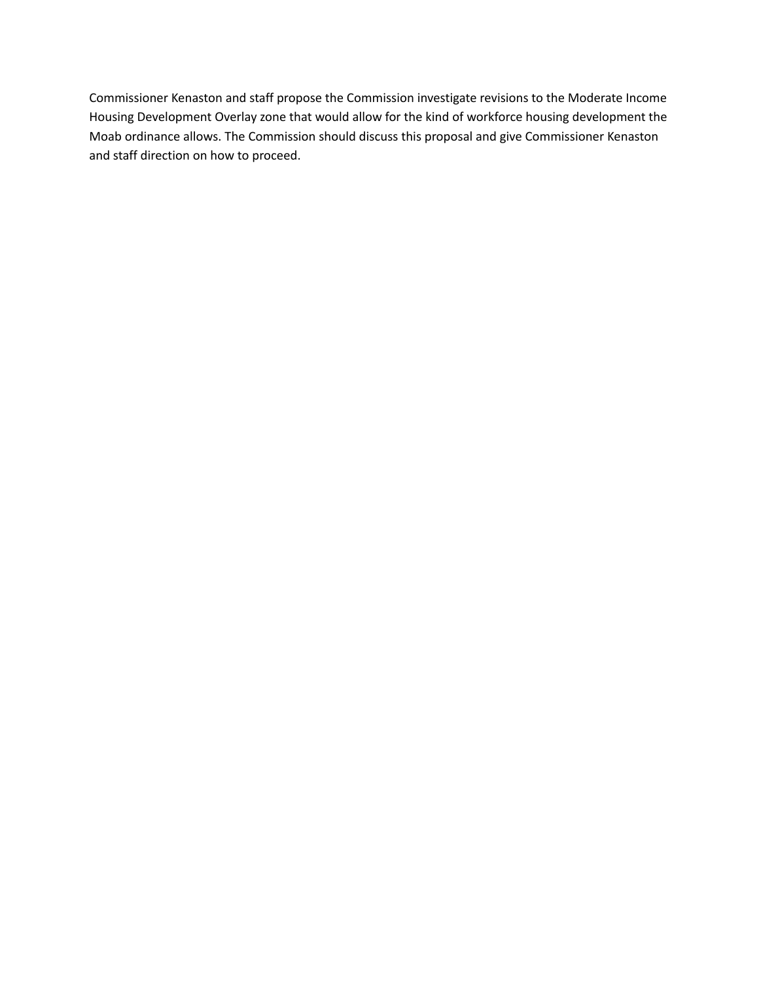Commissioner Kenaston and staff propose the Commission investigate revisions to the Moderate Income Housing Development Overlay zone that would allow for the kind of workforce housing development the Moab ordinance allows. The Commission should discuss this proposal and give Commissioner Kenaston and staff direction on how to proceed.